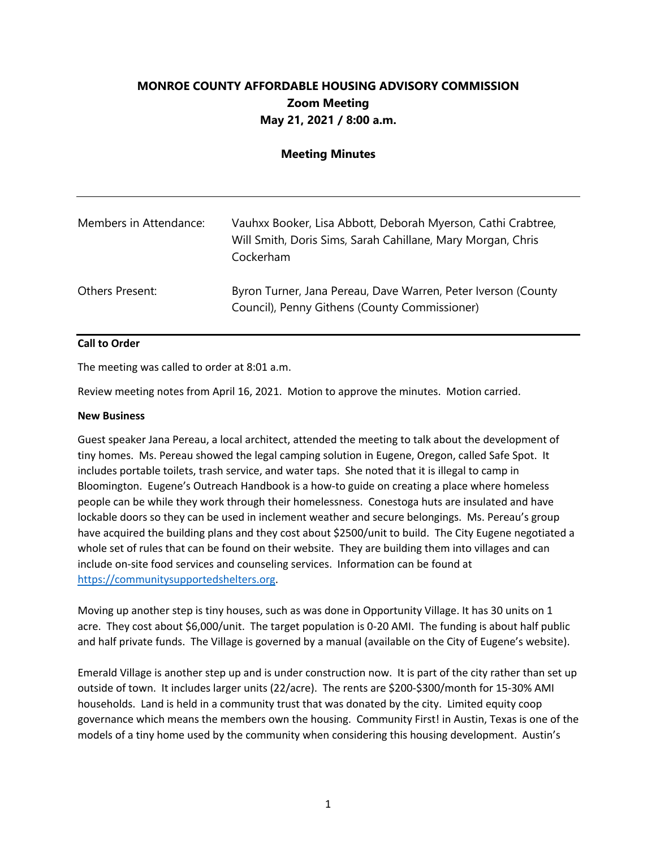## **MONROE COUNTY AFFORDABLE HOUSING ADVISORY COMMISSION Zoom Meeting May 21, 2021 / 8:00 a.m.**

## **Meeting Minutes**

| Members in Attendance: | Vauhxx Booker, Lisa Abbott, Deborah Myerson, Cathi Crabtree,<br>Will Smith, Doris Sims, Sarah Cahillane, Mary Morgan, Chris<br>Cockerham |
|------------------------|------------------------------------------------------------------------------------------------------------------------------------------|
| Others Present:        | Byron Turner, Jana Pereau, Dave Warren, Peter Iverson (County<br>Council), Penny Githens (County Commissioner)                           |

## **Call to Order**

The meeting was called to order at 8:01 a.m.

Review meeting notes from April 16, 2021. Motion to approve the minutes. Motion carried.

## **New Business**

Guest speaker Jana Pereau, a local architect, attended the meeting to talk about the development of tiny homes. Ms. Pereau showed the legal camping solution in Eugene, Oregon, called Safe Spot. It includes portable toilets, trash service, and water taps. She noted that it is illegal to camp in Bloomington. Eugene's Outreach Handbook is a how-to guide on creating a place where homeless people can be while they work through their homelessness. Conestoga huts are insulated and have lockable doors so they can be used in inclement weather and secure belongings. Ms. Pereau's group have acquired the building plans and they cost about \$2500/unit to build. The City Eugene negotiated a whole set of rules that can be found on their website. They are building them into villages and can include on-site food services and counseling services. Information can be found at https://communitysupportedshelters.org.

Moving up another step is tiny houses, such as was done in Opportunity Village. It has 30 units on 1 acre. They cost about \$6,000/unit. The target population is 0-20 AMI. The funding is about half public and half private funds. The Village is governed by a manual (available on the City of Eugene's website).

Emerald Village is another step up and is under construction now. It is part of the city rather than set up outside of town. It includes larger units (22/acre). The rents are \$200-\$300/month for 15-30% AMI households. Land is held in a community trust that was donated by the city. Limited equity coop governance which means the members own the housing. Community First! in Austin, Texas is one of the models of a tiny home used by the community when considering this housing development. Austin's